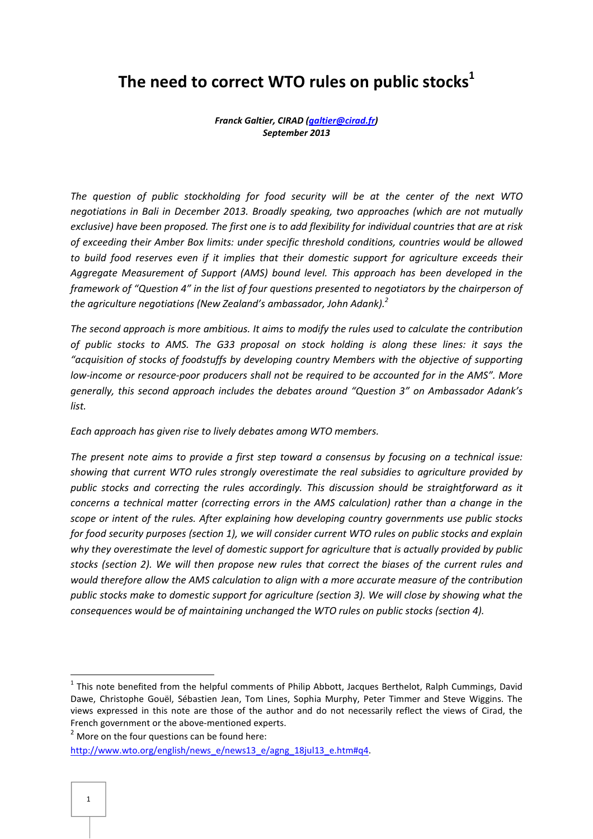# **The need to correct WTO rules on public stocks<sup>1</sup>**

*Franck Galtier, CIRAD (galtier@cirad.fr) September 2013*

*The question of public stockholding for food security will be at the center of the next WTO negotiations in Bali in December 2013. Broadly speaking, two approaches (which are not mutually exclusive) have been proposed. The first one is to add flexibility for individual countries that are at risk of exceeding their Amber Box limits: under specific threshold conditions, countries would be allowed to build food reserves even if it implies that their domestic support for agriculture exceeds their Aggregate Measurement of Support (AMS) bound level. This approach has been developed in the framework of "Question 4" in the list of four questions presented to negotiators by the chairperson of the agriculture negotiations (New Zealand's ambassador, John Adank).<sup>2</sup>* 

*The second approach is more ambitious. It aims to modify the rules used to calculate the contribution of public stocks to AMS. The G33 proposal on stock holding is along these lines: it says the "acquisition of stocks of foodstuffs by developing country Members with the objective of supporting low-income or resource-poor producers shall not be required to be accounted for in the AMS". More generally, this second approach includes the debates around "Question 3" on Ambassador Adank's list.* 

*Each approach has given rise to lively debates among WTO members.* 

*The present note aims to provide a first step toward a consensus by focusing on a technical issue: showing that current WTO rules strongly overestimate the real subsidies to agriculture provided by public stocks and correcting the rules accordingly. This discussion should be straightforward as it concerns a technical matter (correcting errors in the AMS calculation) rather than a change in the scope or intent of the rules. After explaining how developing country governments use public stocks for food security purposes (section 1), we will consider current WTO rules on public stocks and explain why they overestimate the level of domestic support for agriculture that is actually provided by public stocks (section 2). We will then propose new rules that correct the biases of the current rules and would therefore allow the AMS calculation to align with a more accurate measure of the contribution public stocks make to domestic support for agriculture (section 3). We will close by showing what the consequences would be of maintaining unchanged the WTO rules on public stocks (section 4).* 

l

 $^1$  This note benefited from the helpful comments of Philip Abbott, Jacques Berthelot, Ralph Cummings, David Dawe, Christophe Gouël, Sébastien Jean, Tom Lines, Sophia Murphy, Peter Timmer and Steve Wiggins. The views expressed in this note are those of the author and do not necessarily reflect the views of Cirad, the French government or the above-mentioned experts.

 $2$  More on the four questions can be found here:

http://www.wto.org/english/news\_e/news13\_e/agng\_18jul13\_e.htm#q4.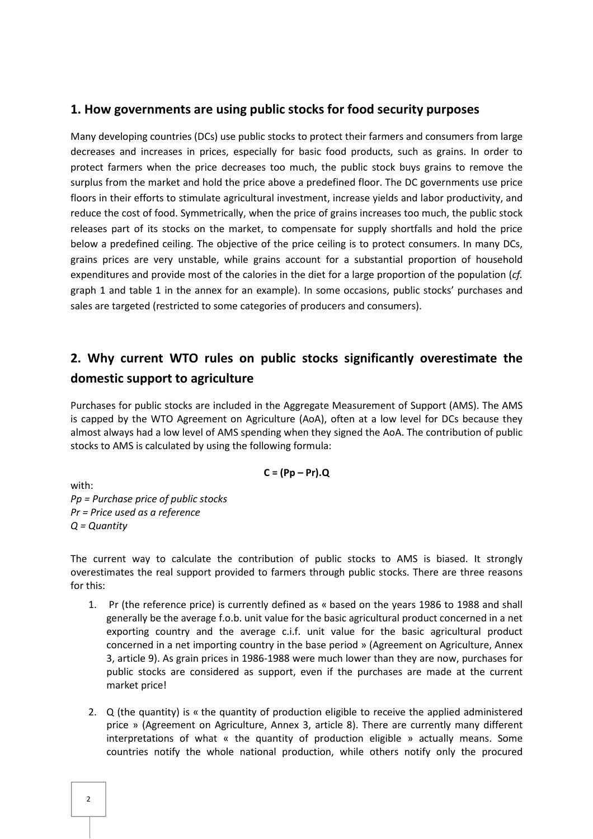### **1. How governments are using public stocks for food security purposes**

Many developing countries (DCs) use public stocks to protect their farmers and consumers from large decreases and increases in prices, especially for basic food products, such as grains. In order to protect farmers when the price decreases too much, the public stock buys grains to remove the surplus from the market and hold the price above a predefined floor. The DC governments use price floors in their efforts to stimulate agricultural investment, increase yields and labor productivity, and reduce the cost of food. Symmetrically, when the price of grains increases too much, the public stock releases part of its stocks on the market, to compensate for supply shortfalls and hold the price below a predefined ceiling. The objective of the price ceiling is to protect consumers. In many DCs, grains prices are very unstable, while grains account for a substantial proportion of household expenditures and provide most of the calories in the diet for a large proportion of the population (*cf.* graph 1 and table 1 in the annex for an example). In some occasions, public stocks' purchases and sales are targeted (restricted to some categories of producers and consumers).

### **2. Why current WTO rules on public stocks significantly overestimate the domestic support to agriculture**

Purchases for public stocks are included in the Aggregate Measurement of Support (AMS). The AMS is capped by the WTO Agreement on Agriculture (AoA), often at a low level for DCs because they almost always had a low level of AMS spending when they signed the AoA. The contribution of public stocks to AMS is calculated by using the following formula:

$$
C = (Pp - Pr).Q
$$

with: *Pp = Purchase price of public stocks Pr = Price used as a reference Q = Quantity* 

The current way to calculate the contribution of public stocks to AMS is biased. It strongly overestimates the real support provided to farmers through public stocks. There are three reasons for this:

- 1. Pr (the reference price) is currently defined as « based on the years 1986 to 1988 and shall generally be the average f.o.b. unit value for the basic agricultural product concerned in a net exporting country and the average c.i.f. unit value for the basic agricultural product concerned in a net importing country in the base period » (Agreement on Agriculture, Annex 3, article 9). As grain prices in 1986-1988 were much lower than they are now, purchases for public stocks are considered as support, even if the purchases are made at the current market price!
- 2. Q (the quantity) is « the quantity of production eligible to receive the applied administered price » (Agreement on Agriculture, Annex 3, article 8). There are currently many different interpretations of what « the quantity of production eligible » actually means. Some countries notify the whole national production, while others notify only the procured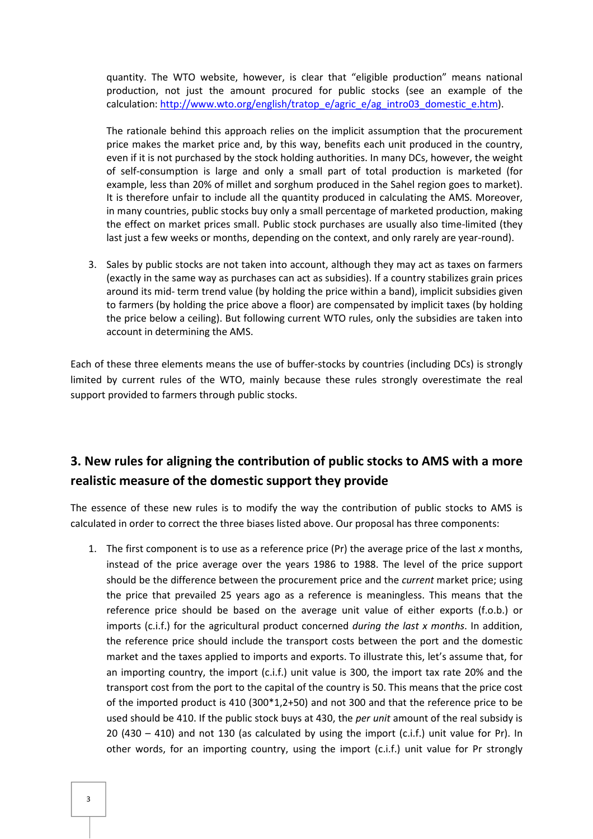quantity. The WTO website, however, is clear that "eligible production" means national production, not just the amount procured for public stocks (see an example of the calculation: http://www.wto.org/english/tratop\_e/agric\_e/ag\_intro03\_domestic\_e.htm).

The rationale behind this approach relies on the implicit assumption that the procurement price makes the market price and, by this way, benefits each unit produced in the country, even if it is not purchased by the stock holding authorities. In many DCs, however, the weight of self-consumption is large and only a small part of total production is marketed (for example, less than 20% of millet and sorghum produced in the Sahel region goes to market). It is therefore unfair to include all the quantity produced in calculating the AMS. Moreover, in many countries, public stocks buy only a small percentage of marketed production, making the effect on market prices small. Public stock purchases are usually also time-limited (they last just a few weeks or months, depending on the context, and only rarely are year-round).

3. Sales by public stocks are not taken into account, although they may act as taxes on farmers (exactly in the same way as purchases can act as subsidies). If a country stabilizes grain prices around its mid- term trend value (by holding the price within a band), implicit subsidies given to farmers (by holding the price above a floor) are compensated by implicit taxes (by holding the price below a ceiling). But following current WTO rules, only the subsidies are taken into account in determining the AMS.

Each of these three elements means the use of buffer-stocks by countries (including DCs) is strongly limited by current rules of the WTO, mainly because these rules strongly overestimate the real support provided to farmers through public stocks.

## **3. New rules for aligning the contribution of public stocks to AMS with a more realistic measure of the domestic support they provide**

The essence of these new rules is to modify the way the contribution of public stocks to AMS is calculated in order to correct the three biases listed above. Our proposal has three components:

1. The first component is to use as a reference price (Pr) the average price of the last *x* months, instead of the price average over the years 1986 to 1988. The level of the price support should be the difference between the procurement price and the *current* market price; using the price that prevailed 25 years ago as a reference is meaningless. This means that the reference price should be based on the average unit value of either exports (f.o.b.) or imports (c.i.f.) for the agricultural product concerned *during the last x months*. In addition, the reference price should include the transport costs between the port and the domestic market and the taxes applied to imports and exports. To illustrate this, let's assume that, for an importing country, the import (c.i.f.) unit value is 300, the import tax rate 20% and the transport cost from the port to the capital of the country is 50. This means that the price cost of the imported product is 410 (300\*1,2+50) and not 300 and that the reference price to be used should be 410. If the public stock buys at 430, the *per unit* amount of the real subsidy is 20 (430 – 410) and not 130 (as calculated by using the import (c.i.f.) unit value for Pr). In other words, for an importing country, using the import (c.i.f.) unit value for Pr strongly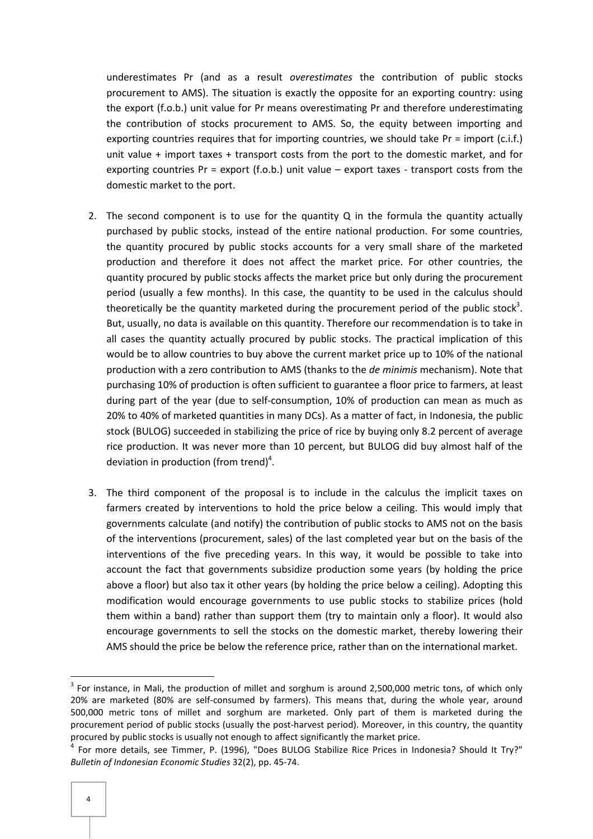underestimates Pr (and as a result *overestimates* the contribution of public stocks procurement to AMS). The situation is exactly the opposite for an exporting country: using the export (f.o.b.) unit value for Pr means overestimating Pr and therefore underestimating the contribution of stocks procurement to AMS. So, the equity between importing and exporting countries requires that for importing countries, we should take Pr = import (c.i.f.) unit value + import taxes + transport costs from the port to the domestic market, and for exporting countries  $Pr =$  export  $(f.o.b.)$  unit value – export taxes - transport costs from the domestic market to the port.

- 2. The second component is to use for the quantity  $Q$  in the formula the quantity actually purchased by public stocks, instead of the entire national production. For some countries, the quantity procured by public stocks accounts for a very small share of the marketed production and therefore it does not affect the market price. For other countries, the quantity procured by public stocks affects the market price but only during the procurement period (usually a few months). In this case, the quantity to be used in the calculus should theoretically be the quantity marketed during the procurement period of the public stock<sup>3</sup>. But, usually, no data is available on this quantity. Therefore our recommendation is to take in all cases the quantity actually procured by public stocks. The practical implication of this would be to allow countries to buy above the current market price up to 10% of the national production with a zero contribution to AMS (thanks to the *de minimis* mechanism). Note that purchasing 10% of production is often sufficient to guarantee a floor price to farmers, at least during part of the year (due to self-consumption, 10% of production can mean as much as 20% to 40% of marketed quantities in many DCs). As a matter of fact, in Indonesia, the public stock (BULOG) succeeded in stabilizing the price of rice by buying only 8.2 percent of average rice production. It was never more than 10 percent, but BULOG did buy almost half of the deviation in production (from trend)<sup>4</sup>.
- 3. The third component of the proposal is to include in the calculus the implicit taxes on farmers created by interventions to hold the price below a ceiling. This would imply that governments calculate (and notify) the contribution of public stocks to AMS not on the basis of the interventions (procurement, sales) of the last completed year but on the basis of the interventions of the five preceding years. In this way, it would be possible to take into account the fact that governments subsidize production some years (by holding the price above a floor) but also tax it other years (by holding the price below a ceiling). Adopting this modification would encourage governments to use public stocks to stabilize prices (hold them within a band) rather than support them (try to maintain only a floor). It would also encourage governments to sell the stocks on the domestic market, thereby lowering their AMS should the price be below the reference price, rather than on the international market.

l

 $3$  For instance, in Mali, the production of millet and sorghum is around 2,500,000 metric tons, of which only 20% are marketed (80% are self-consumed by farmers). This means that, during the whole year, around 500,000 metric tons of millet and sorghum are marketed. Only part of them is marketed during the procurement period of public stocks (usually the post-harvest period). Moreover, in this country, the quantity procured by public stocks is usually not enough to affect significantly the market price.

<sup>4</sup> For more details, see Timmer, P. (1996), "Does BULOG Stabilize Rice Prices in Indonesia? Should It Try?" *Bulletin of Indonesian Economic Studies* 32(2), pp. 45-74.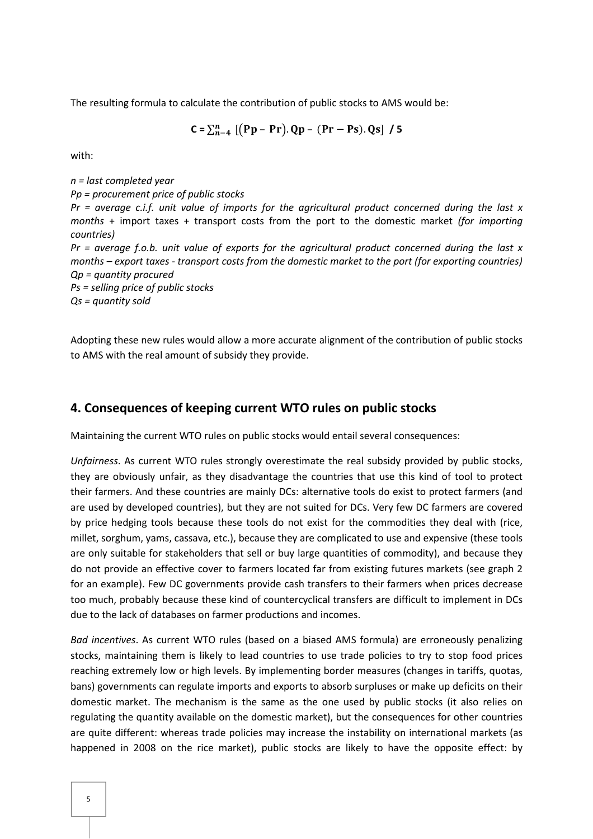The resulting formula to calculate the contribution of public stocks to AMS would be:

 $C = \sum_{n=4}^{n} [(Pp - Pr). Qp - (Pr - Ps). Qs] / 5$ 

with:

*n = last completed year Pp = procurement price of public stocks Pr = average c.i.f. unit value of imports for the agricultural product concerned during the last x months* + import taxes + transport costs from the port to the domestic market *(for importing countries) Pr = average f.o.b. unit value of exports for the agricultural product concerned during the last x months – export taxes - transport costs from the domestic market to the port (for exporting countries) Qp = quantity procured Ps = selling price of public stocks Qs = quantity sold* 

Adopting these new rules would allow a more accurate alignment of the contribution of public stocks to AMS with the real amount of subsidy they provide.

#### **4. Consequences of keeping current WTO rules on public stocks**

Maintaining the current WTO rules on public stocks would entail several consequences:

*Unfairness*. As current WTO rules strongly overestimate the real subsidy provided by public stocks, they are obviously unfair, as they disadvantage the countries that use this kind of tool to protect their farmers. And these countries are mainly DCs: alternative tools do exist to protect farmers (and are used by developed countries), but they are not suited for DCs. Very few DC farmers are covered by price hedging tools because these tools do not exist for the commodities they deal with (rice, millet, sorghum, yams, cassava, etc.), because they are complicated to use and expensive (these tools are only suitable for stakeholders that sell or buy large quantities of commodity), and because they do not provide an effective cover to farmers located far from existing futures markets (see graph 2 for an example). Few DC governments provide cash transfers to their farmers when prices decrease too much, probably because these kind of countercyclical transfers are difficult to implement in DCs due to the lack of databases on farmer productions and incomes.

*Bad incentives*. As current WTO rules (based on a biased AMS formula) are erroneously penalizing stocks, maintaining them is likely to lead countries to use trade policies to try to stop food prices reaching extremely low or high levels. By implementing border measures (changes in tariffs, quotas, bans) governments can regulate imports and exports to absorb surpluses or make up deficits on their domestic market. The mechanism is the same as the one used by public stocks (it also relies on regulating the quantity available on the domestic market), but the consequences for other countries are quite different: whereas trade policies may increase the instability on international markets (as happened in 2008 on the rice market), public stocks are likely to have the opposite effect: by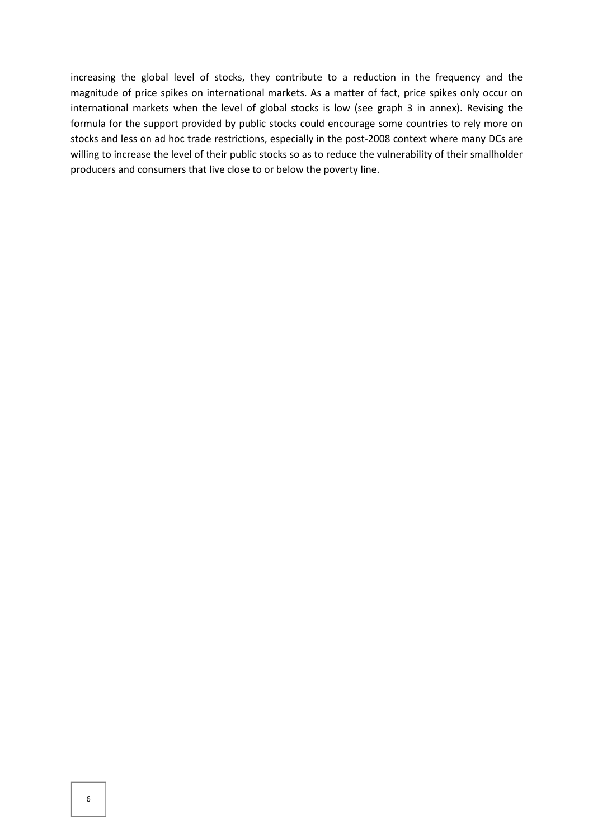increasing the global level of stocks, they contribute to a reduction in the frequency and the magnitude of price spikes on international markets. As a matter of fact, price spikes only occur on international markets when the level of global stocks is low (see graph 3 in annex). Revising the formula for the support provided by public stocks could encourage some countries to rely more on stocks and less on ad hoc trade restrictions, especially in the post-2008 context where many DCs are willing to increase the level of their public stocks so as to reduce the vulnerability of their smallholder producers and consumers that live close to or below the poverty line.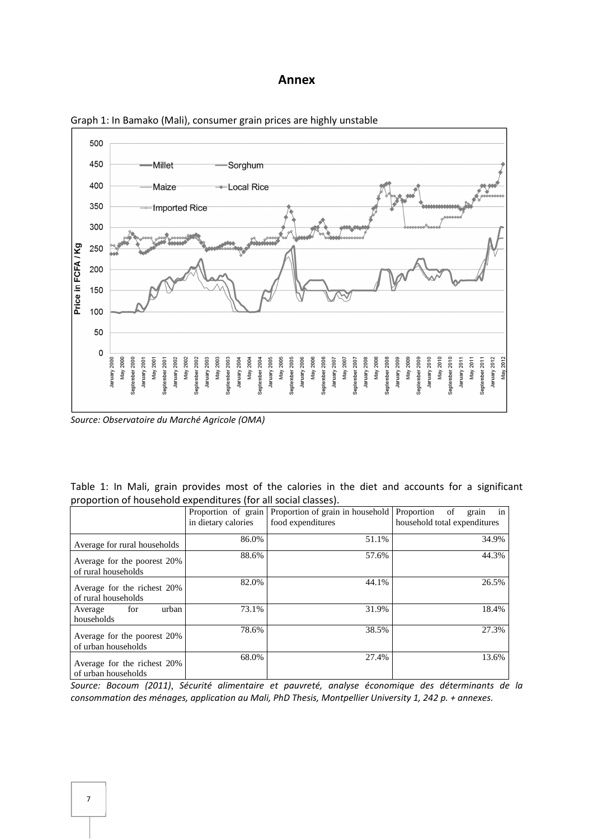#### **Annex**



Graph 1: In Bamako (Mali), consumer grain prices are highly unstable

*Source: Observatoire du Marché Agricole (OMA)*

|  |  |                                                                |  |  |  |  |  | Table 1: In Mali, grain provides most of the calories in the diet and accounts for a significant |
|--|--|----------------------------------------------------------------|--|--|--|--|--|--------------------------------------------------------------------------------------------------|
|  |  | proportion of household expenditures (for all social classes). |  |  |  |  |  |                                                                                                  |

|                                                    | Proportion of grain<br>in dietary calories | Proportion of grain in household Proportion<br>food expenditures | of<br>grain<br>1n<br>household total expenditures |
|----------------------------------------------------|--------------------------------------------|------------------------------------------------------------------|---------------------------------------------------|
| Average for rural households                       | 86.0%                                      | 51.1%                                                            | 34.9%                                             |
| Average for the poorest 20%<br>of rural households | 88.6%                                      | 57.6%                                                            | 44.3%                                             |
| Average for the richest 20%<br>of rural households | 82.0%                                      | 44.1%                                                            | 26.5%                                             |
| for<br>urban<br>Average<br>households              | 73.1%                                      | 31.9%                                                            | 18.4%                                             |
| Average for the poorest 20%<br>of urban households | 78.6%                                      | 38.5%                                                            | 27.3%                                             |
| Average for the richest 20%<br>of urban households | 68.0%                                      | 27.4%                                                            | 13.6%                                             |

*Source: Bocoum (2011)*, *Sécurité alimentaire et pauvreté, analyse économique des déterminants de la consommation des ménages, application au Mali, PhD Thesis, Montpellier University 1, 242 p. + annexes.*